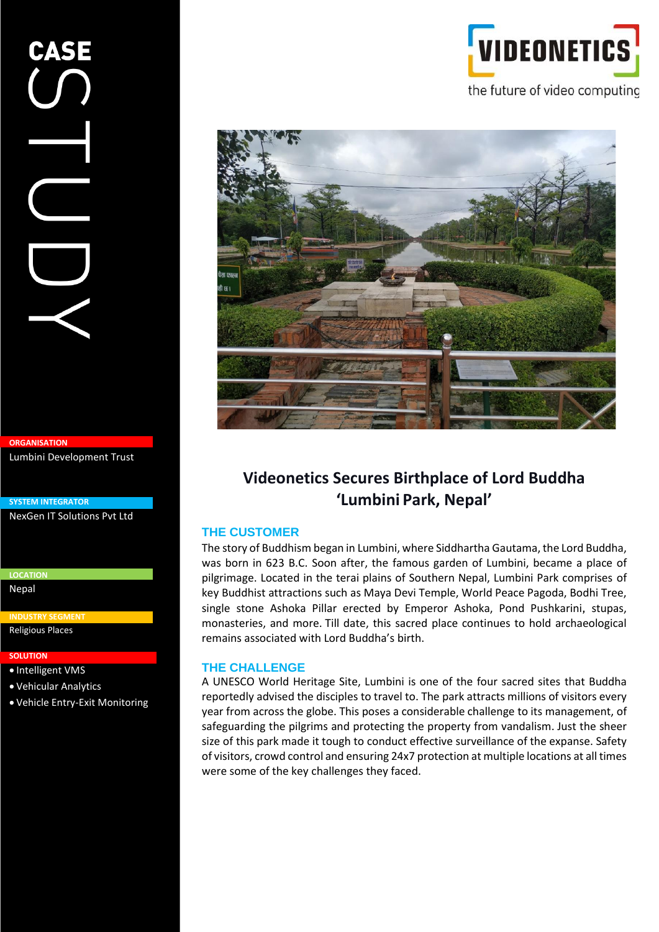# **ORGANISATION**

Lumbini Development Trust

**SYSTEM INTEGRATOR**

NexGen IT Solutions Pvt Ltd

**LOCATION** Nepal

**INDUSTRY SEGMENT**

Religious Places

#### **SOLUTION**

- **SOLUTION** Intelligent VMS
- Vehicular Analytics

• Vehicle Entry-Exit Monitoring





# **Videonetics Secures Birthplace of Lord Buddha 'Lumbini Park, Nepal'**

#### **THE CUSTOMER**

The story of Buddhism began in Lumbini, where Siddhartha Gautama, the Lord Buddha, was born in 623 B.C. Soon after, the famous garden of Lumbini, became a place of pilgrimage. Located in the terai plains of Southern Nepal, Lumbini Park comprises of key Buddhist attractions such as Maya Devi Temple, World Peace Pagoda, Bodhi Tree, single stone Ashoka Pillar erected by Emperor Ashoka, Pond Pushkarini, stupas, monasteries, and more. Till date, this sacred place continues to hold archaeological remains associated with Lord Buddha's birth.

#### **THE CHALLENGE**

A UNESCO World Heritage Site, Lumbini is one of the four sacred sites that Buddha reportedly advised the disciples to travel to. The park attracts millions of visitors every year from across the globe. This poses a considerable challenge to its management, of safeguarding the pilgrims and protecting the property from vandalism. Just the sheer size of this park made it tough to conduct effective surveillance of the expanse. Safety of visitors, crowd control and ensuring 24x7 protection at multiple locations at all times were some of the key challenges they faced.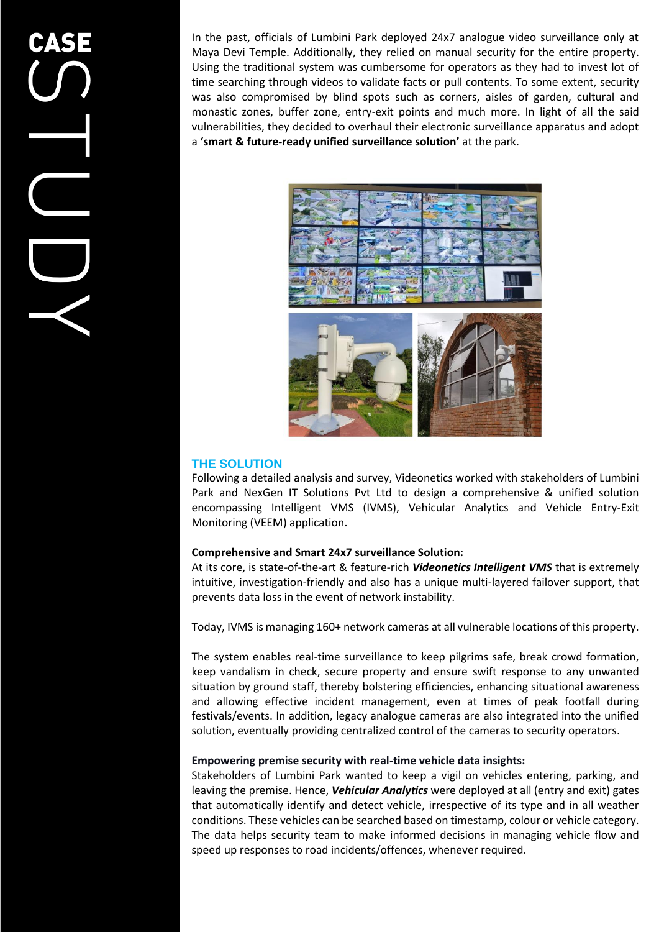In the past, officials of Lumbini Park deployed 24x7 analogue video surveillance only at Maya Devi Temple. Additionally, they relied on manual security for the entire property. Using the traditional system was cumbersome for operators as they had to invest lot of time searching through videos to validate facts or pull contents. To some extent, security was also compromised by blind spots such as corners, aisles of garden, cultural and monastic zones, buffer zone, entry-exit points and much more. In light of all the said vulnerabilities, they decided to overhaul their electronic surveillance apparatus and adopt a **'smart & future-ready unified surveillance solution'** at the park.



# **THE SOLUTION**

Following a detailed analysis and survey, Videonetics worked with stakeholders of Lumbini Park and NexGen IT Solutions Pvt Ltd to design a comprehensive & unified solution encompassing Intelligent VMS (IVMS), Vehicular Analytics and Vehicle Entry-Exit Monitoring (VEEM) application.

## **Comprehensive and Smart 24x7 surveillance Solution:**

At its core, is state-of-the-art & feature-rich *Videonetics Intelligent VMS* that is extremely intuitive, investigation-friendly and also has a unique multi-layered failover support, that prevents data loss in the event of network instability.

Today, IVMS is managing 160+ network cameras at all vulnerable locations of this property.

The system enables real-time surveillance to keep pilgrims safe, break crowd formation, keep vandalism in check, secure property and ensure swift response to any unwanted situation by ground staff, thereby bolstering efficiencies, enhancing situational awareness and allowing effective incident management, even at times of peak footfall during festivals/events. In addition, legacy analogue cameras are also integrated into the unified solution, eventually providing centralized control of the cameras to security operators.

# **Empowering premise security with real-time vehicle data insights:**

Stakeholders of Lumbini Park wanted to keep a vigil on vehicles entering, parking, and leaving the premise. Hence, *Vehicular Analytics* were deployed at all (entry and exit) gates that automatically identify and detect vehicle, irrespective of its type and in all weather conditions. These vehicles can be searched based on timestamp, colour or vehicle category. The data helps security team to make informed decisions in managing vehicle flow and speed up responses to road incidents/offences, whenever required.